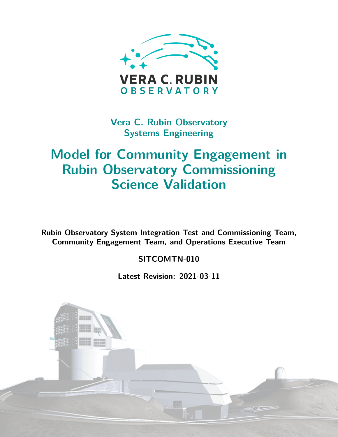

**Vera C. Rubin Observatory Systems Engineering**

# **Model for Community Engagement in Rubin Observatory Commissioning Science Validation**

**Rubin Observatory System Integration Test and Commissioning Team, Community Engagement Team, and Operations Executive Team**

## **SITCOMTN-010**

**Latest Revision: 2021-03-11**

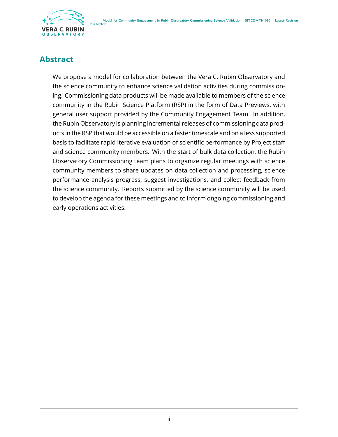

## **Abstract**

We propose a model for collaboration between the Vera C. Rubin Observatory and the science community to enhance science validation activities during commissioning. Commissioning data products will be made available to members of the science community in the Rubin Science Platform (RSP) in the form of Data Previews, with general user support provided by the Community Engagement Team. In addition, the Rubin Observatory is planning incremental releases of commissioning data products in the RSP that would be accessible on a faster timescale and on a less supported basis to facilitate rapid iterative evaluation of scientific performance by Project staff and science community members. With the start of bulk data collection, the Rubin Observatory Commissioning team plans to organize regular meetings with science community members to share updates on data collection and processing, science performance analysis progress, suggest investigations, and collect feedback from the science community. Reports submitted by the science community will be used to develop the agenda for these meetings and to inform ongoing commissioning and early operations activities.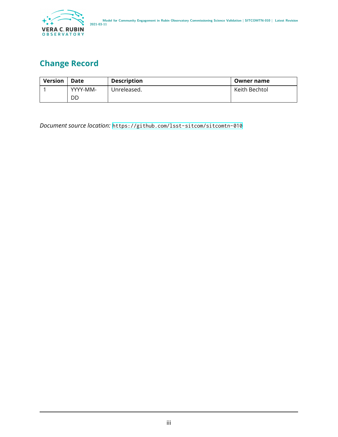

## **Change Record**

| <b>Version</b> | Date     | <b>Description</b> | Owner name    |
|----------------|----------|--------------------|---------------|
|                | YYYY-MM- | Unreleased.        | Keith Bechtol |
|                | DD       |                    |               |

*Document source location:* <https://github.com/lsst-sitcom/sitcomtn-010>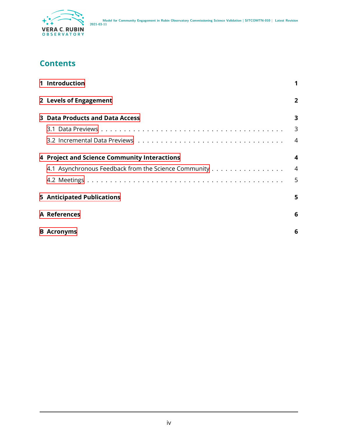

## **Contents**

| 1 Introduction                                       |                |
|------------------------------------------------------|----------------|
| 2 Levels of Engagement                               | $\overline{2}$ |
| 3 Data Products and Data Access                      | 3              |
|                                                      | 3              |
|                                                      | 4              |
| 4 Project and Science Community Interactions         | 4              |
| 4.1 Asynchronous Feedback from the Science Community | $\overline{4}$ |
|                                                      | 5              |
| <b>5</b> Anticipated Publications                    | 5.             |
| A References                                         | 6              |
| <b>B</b> Acronyms                                    | 6              |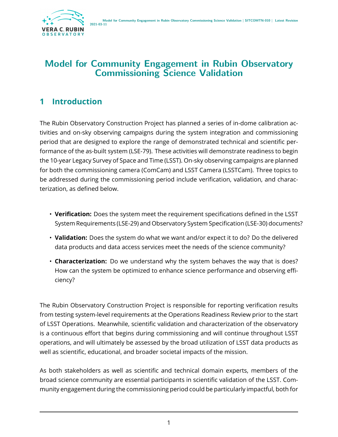

## **Model for Community Engagement in Rubin Observatory Commissioning Science Validation**

## <span id="page-4-0"></span>**1 Introduction**

The Rubin Observatory Construction Project has planned a series of in-dome calibration activities and on-sky observing campaigns during the system integration and commissioning period that are designed to explore the range of demonstrated technical and scientific performance of the as-built system (LSE-79). These activities will demonstrate readiness to begin the 10-year Legacy Survey of Space and Time (LSST). On-sky observing campaigns are planned for both the commissioning camera (ComCam) and LSST Camera (LSSTCam). Three topics to be addressed during the commissioning period include verification, validation, and characterization, as defined below.

- **Verification:** Does the system meet the requirement specifications defined in the LSST System Requirements (LSE-29) and Observatory System Specification (LSE-30) documents?
- **Validation:** Does the system do what we want and/or expect it to do? Do the delivered data products and data access services meet the needs of the science community?
- **Characterization:** Do we understand why the system behaves the way that is does? How can the system be optimized to enhance science performance and observing efficiency?

The Rubin Observatory Construction Project is responsible for reporting verification results from testing system-level requirements at the Operations Readiness Review prior to the start of LSST Operations. Meanwhile, scientific validation and characterization of the observatory is a continuous effort that begins during commissioning and will continue throughout LSST operations, and will ultimately be assessed by the broad utilization of LSST data products as well as scientific, educational, and broader societal impacts of the mission.

As both stakeholders as well as scientific and technical domain experts, members of the broad science community are essential participants in scientific validation of the LSST. Community engagement during the commissioning period could be particularly impactful, both for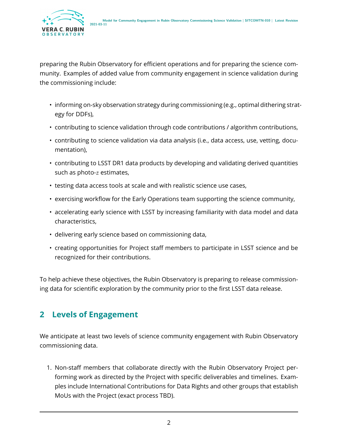

preparing the Rubin Observatory for efficient operations and for preparing the science community. Examples of added value from community engagement in science validation during the commissioning include:

- informing on-sky observation strategy during commissioning (e.g., optimal dithering strategy for DDFs),
- contributing to science validation through code contributions / algorithm contributions,
- contributing to science validation via data analysis (i.e., data access, use, vetting, documentation),
- contributing to LSST DR1 data products by developing and validating derived quantities such as photo- $z$  estimates,
- testing data access tools at scale and with realistic science use cases,
- exercising workflow for the Early Operations team supporting the science community,
- accelerating early science with LSST by increasing familiarity with data model and data characteristics,
- delivering early science based on commissioning data,
- creating opportunities for Project staff members to participate in LSST science and be recognized for their contributions.

To help achieve these objectives, the Rubin Observatory is preparing to release commissioning data for scientific exploration by the community prior to the first LSST data release.

## <span id="page-5-0"></span>**2 Levels of Engagement**

We anticipate at least two levels of science community engagement with Rubin Observatory commissioning data.

1. Non-staff members that collaborate directly with the Rubin Observatory Project performing work as directed by the Project with specific deliverables and timelines. Examples include International Contributions for Data Rights and other groups that establish MoUs with the Project (exact process TBD).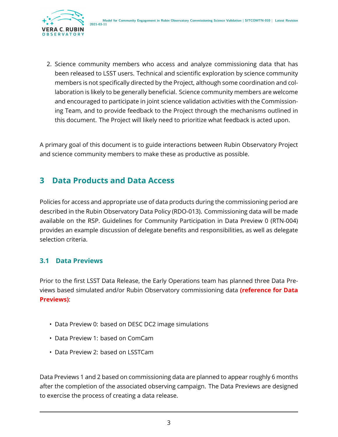

2. Science community members who access and analyze commissioning data that has been released to LSST users. Technical and scientific exploration by science community members is not specifically directed by the Project, although some coordination and collaboration is likely to be generally beneficial. Science community members are welcome and encouraged to participate in joint science validation activities with the Commissioning Team, and to provide feedback to the Project through the mechanisms outlined in this document. The Project will likely need to prioritize what feedback is acted upon.

A primary goal of this document is to guide interactions between Rubin Observatory Project and science community members to make these as productive as possible.

# <span id="page-6-0"></span>**3 Data Products and Data Access**

Policies for access and appropriate use of data products during the commissioning period are described in the Rubin Observatory Data Policy (RDO-013). Commissioning data will be made available on the RSP. Guidelines for Community Participation in Data Preview 0 (RTN-004) provides an example discussion of delegate benefits and responsibilities, as well as delegate selection criteria.

### <span id="page-6-1"></span>**3.1 Data Previews**

Prior to the first LSST Data Release, the Early Operations team has planned three Data Previews based simulated and/or Rubin Observatory commissioning data **(reference for Data Previews)**:

- Data Preview 0: based on DESC DC2 image simulations
- Data Preview 1: based on ComCam
- Data Preview 2: based on LSSTCam

Data Previews 1 and 2 based on commissioning data are planned to appear roughly 6 months after the completion of the associated observing campaign. The Data Previews are designed to exercise the process of creating a data release.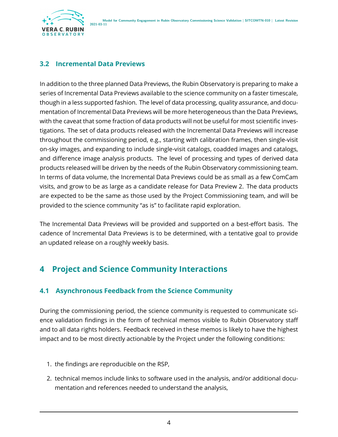

### <span id="page-7-0"></span>**3.2 Incremental Data Previews**

In addition to the three planned Data Previews, the Rubin Observatory is preparing to make a series of Incremental Data Previews available to the science community on a faster timescale, though in a less supported fashion. The level of data processing, quality assurance, and documentation of Incremental Data Previews will be more heterogeneous than the Data Previews, with the caveat that some fraction of data products will not be useful for most scientific investigations. The set of data products released with the Incremental Data Previews will increase throughout the commissioning period, e.g., starting with calibration frames, then single-visit on-sky images, and expanding to include single-visit catalogs, coadded images and catalogs, and difference image analysis products. The level of processing and types of derived data products released will be driven by the needs of the Rubin Observatory commissioning team. In terms of data volume, the Incremental Data Previews could be as small as a few ComCam visits, and grow to be as large as a candidate release for Data Preview 2. The data products are expected to be the same as those used by the Project Commissioning team, and will be provided to the science community "as is" to facilitate rapid exploration.

The Incremental Data Previews will be provided and supported on a best-effort basis. The cadence of Incremental Data Previews is to be determined, with a tentative goal to provide an updated release on a roughly weekly basis.

## <span id="page-7-1"></span>**4 Project and Science Community Interactions**

#### <span id="page-7-2"></span>**4.1 Asynchronous Feedback from the Science Community**

During the commissioning period, the science community is requested to communicate science validation findings in the form of technical memos visible to Rubin Observatory staff and to all data rights holders. Feedback received in these memos is likely to have the highest impact and to be most directly actionable by the Project under the following conditions:

- 1. the findings are reproducible on the RSP,
- 2. technical memos include links to software used in the analysis, and/or additional documentation and references needed to understand the analysis,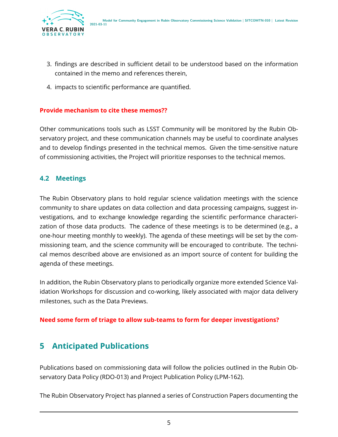

- 3. findings are described in sufficient detail to be understood based on the information contained in the memo and references therein,
- 4. impacts to scientific performance are quantified.

#### **Provide mechanism to cite these memos??**

Other communications tools such as LSST Community will be monitored by the Rubin Observatory project, and these communication channels may be useful to coordinate analyses and to develop findings presented in the technical memos. Given the time-sensitive nature of commissioning activities, the Project will prioritize responses to the technical memos.

#### <span id="page-8-0"></span>**4.2 Meetings**

The Rubin Observatory plans to hold regular science validation meetings with the science community to share updates on data collection and data processing campaigns, suggest investigations, and to exchange knowledge regarding the scientific performance characterization of those data products. The cadence of these meetings is to be determined (e.g., a one-hour meeting monthly to weekly). The agenda of these meetings will be set by the commissioning team, and the science community will be encouraged to contribute. The technical memos described above are envisioned as an import source of content for building the agenda of these meetings.

In addition, the Rubin Observatory plans to periodically organize more extended Science Validation Workshops for discussion and co-working, likely associated with major data delivery milestones, such as the Data Previews.

#### <span id="page-8-1"></span>**Need some form of triage to allow sub-teams to form for deeper investigations?**

## **5 Anticipated Publications**

Publications based on commissioning data will follow the policies outlined in the Rubin Observatory Data Policy (RDO-013) and Project Publication Policy (LPM-162).

The Rubin Observatory Project has planned a series of Construction Papers documenting the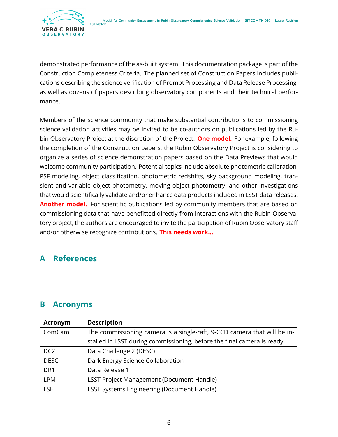

demonstrated performance of the as-built system. This documentation package is part of the Construction Completeness Criteria. The planned set of Construction Papers includes publications describing the science verification of Prompt Processing and Data Release Processing, as well as dozens of papers describing observatory components and their technical performance.

Members of the science community that make substantial contributions to commissioning science validation activities may be invited to be co-authors on publications led by the Rubin Observatory Project at the discretion of the Project. **One model.** For example, following the completion of the Construction papers, the Rubin Observatory Project is considering to organize a series of science demonstration papers based on the Data Previews that would welcome community participation. Potential topics include absolute photometric calibration, PSF modeling, object classification, photometric redshifts, sky background modeling, transient and variable object photometry, moving object photometry, and other investigations that would scientifically validate and/or enhance data products included in LSST data releases. **Another model.** For scientific publications led by community members that are based on commissioning data that have benefitted directly from interactions with the Rubin Observatory project, the authors are encouraged to invite the participation of Rubin Observatory staff and/or otherwise recognize contributions. **This needs work...**

## <span id="page-9-0"></span>**A References**

## <span id="page-9-1"></span>**B Acronyms**

| <b>Acronym</b>  | <b>Description</b>                                                       |  |
|-----------------|--------------------------------------------------------------------------|--|
| ComCam          | The commissioning camera is a single-raft, 9-CCD camera that will be in- |  |
|                 | stalled in LSST during commissioning, before the final camera is ready.  |  |
| DC <sub>2</sub> | Data Challenge 2 (DESC)                                                  |  |
| <b>DESC</b>     | Dark Energy Science Collaboration                                        |  |
| DR <sub>1</sub> | Data Release 1                                                           |  |
| <b>LPM</b>      | <b>LSST Project Management (Document Handle)</b>                         |  |
| <b>LSE</b>      | <b>LSST Systems Engineering (Document Handle)</b>                        |  |
|                 |                                                                          |  |